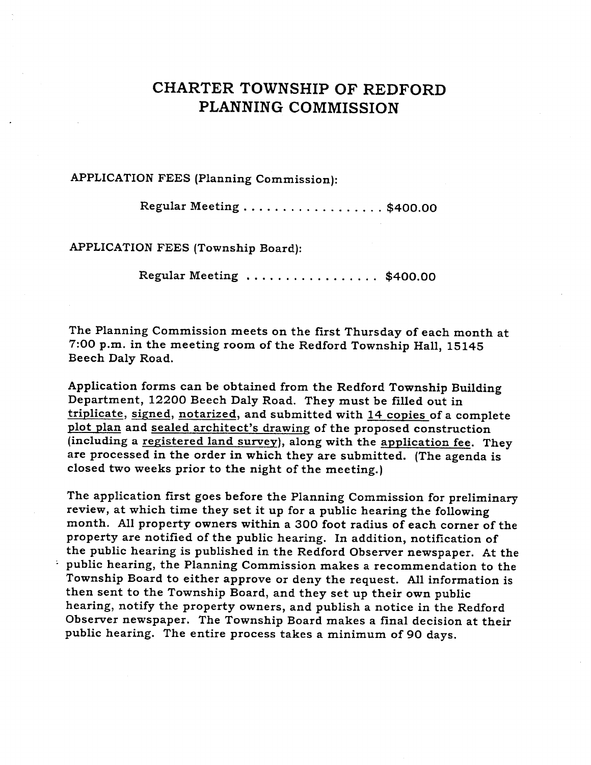# **CHARTER TOWNSHIP OF REDFORD PLANNING COMMISSION**

### **APPLICATIO N FEE S (Planning Commission):**

**Regular Meeting \$400.00** 

**APPLICATION FEES (Township Board):** 

**Regular Meeting \$400.00** 

The Planning Commission meets on the first Thursday of each month at **7:00 p.m. in the meeting room of the Redford Township Hall, 15145 Beech Daly Road.** 

**Application forms can be obtained from the Redford Township Building**  Department, 12200 Beech Daly Road. They must be filled out in **triplicate, signed, notarized, and submitted with 14 copies of a complete plot plan and sealed architect' s drawing of the proposed construction (including a registered land survey), along with the application fee. They are processed in the order in which they are submitted. (The agenda is closed two weeks prior to the night of the meeting.)** 

**T he application first goes before the Planning Commission for preliminary review, at which time they set it up for a public hearing the following month. All property owners within a 300 foot radius of each corner of the property are notified of the public hearing. In addition, notification of the public hearing is published in the Redford Observer newspaper. At the • public hearing, the Planning Commission makes a recommendation to the Township Board to either approve or deny the request. All information is**  then sent to the Township Board, and they set up their own public **hearing, notify the property owners, and publish a notice in the Redford Observer newspaper. The Township Board makes a final decision at their public hearing. The entire process takes a minimum of 90 days.**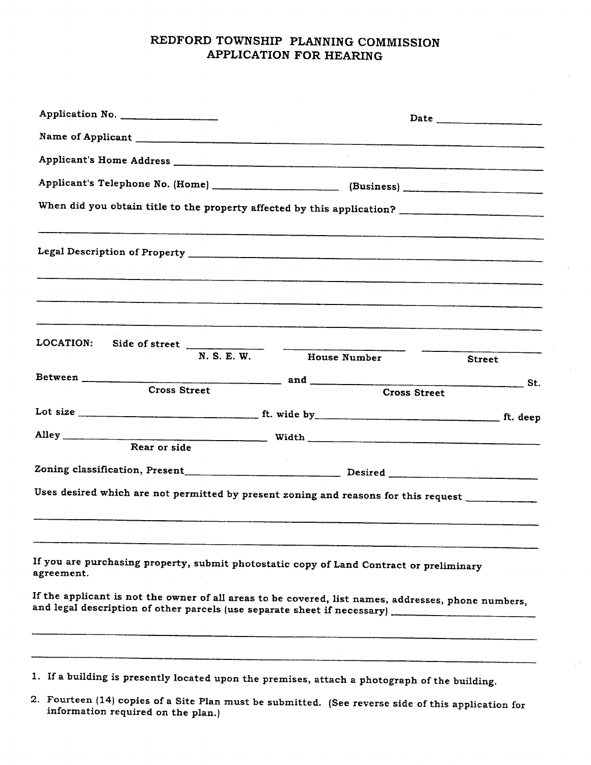## **REDFORD TOWNSHIP PLANNING COMMISSION APPLICATION FOR HEARING**

| Application No.                                                                                                                                                                                            |                     |               |  |
|------------------------------------------------------------------------------------------------------------------------------------------------------------------------------------------------------------|---------------------|---------------|--|
|                                                                                                                                                                                                            |                     |               |  |
| Applicant's Home Address <b>Acceleration and Acceleration</b> and Applicant's Home Address <b>Applicant's</b>                                                                                              |                     |               |  |
|                                                                                                                                                                                                            |                     |               |  |
|                                                                                                                                                                                                            |                     |               |  |
|                                                                                                                                                                                                            |                     |               |  |
|                                                                                                                                                                                                            |                     |               |  |
| LOCATION:<br>Side of street $\frac{W \cap E \cap W}{W \cap E \cap W}$                                                                                                                                      | House Number        |               |  |
|                                                                                                                                                                                                            |                     | <b>Street</b> |  |
| <b>Cross Street</b>                                                                                                                                                                                        | <b>Cross Street</b> |               |  |
|                                                                                                                                                                                                            |                     |               |  |
| Alley                                                                                                                                                                                                      |                     |               |  |
| Rear or side                                                                                                                                                                                               |                     |               |  |
| Zoning classification, Present__________________________________Desired ____________________________                                                                                                       |                     |               |  |
| Uses desired which are not permitted by present zoning and reasons for this request ______________                                                                                                         |                     |               |  |
| If you are purchasing property, submit photostatic copy of Land Contract or preliminary<br>agreement.                                                                                                      |                     |               |  |
| If the applicant is not the owner of all areas to be covered, list names, addresses, phone numbers,<br>and legal description of other parcels (use separate sheet if necessary) __________________________ |                     |               |  |
|                                                                                                                                                                                                            |                     |               |  |
| 1. If a building is presently located upon the premises, attach a photograph of the building.                                                                                                              |                     |               |  |

**2. Fourteen (14) copies of a Site Plan mus t be submitted. (See reverse side of this application for information required on the plan.)**